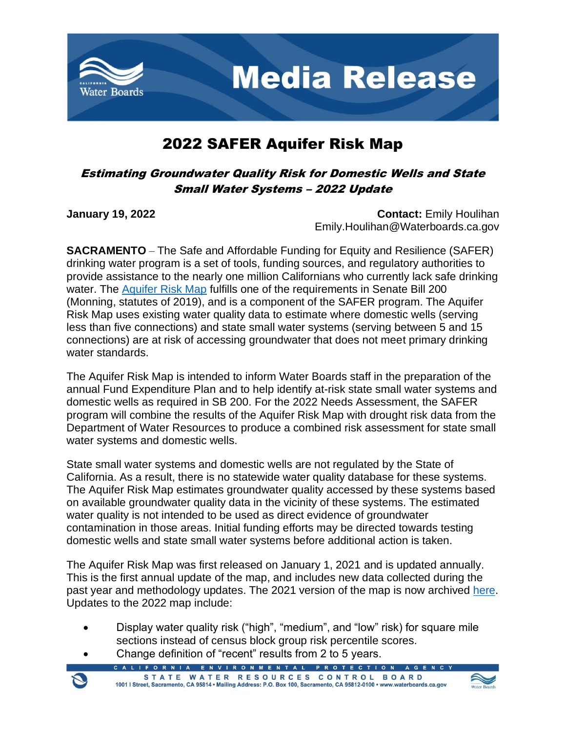

## 2022 SAFER Aquifer Risk Map

## Estimating Groundwater Quality Risk for Domestic Wells and State Small Water Systems – 2022 Update

**January 19, 2022 Contact: Emily Houlihan** Emily.Houlihan@Waterboards.ca.gov

**SACRAMENTO** – The Safe and Affordable Funding for Equity and Resilience (SAFER) drinking water program is a set of tools, funding sources, and regulatory authorities to provide assistance to the nearly one million Californians who currently lack safe drinking water. The [Aquifer Risk Map](https://gispublic.waterboards.ca.gov/portal/apps/webappviewer/index.html?id=17825b2b791d4004b547d316af7ac5cb) fulfills one of the requirements in Senate Bill 200 (Monning, statutes of 2019), and is a component of the SAFER program. The Aquifer Risk Map uses existing water quality data to estimate where domestic wells (serving less than five connections) and state small water systems (serving between 5 and 15 connections) are at risk of accessing groundwater that does not meet primary drinking water standards.

The Aquifer Risk Map is intended to inform Water Boards staff in the preparation of the annual Fund Expenditure Plan and to help identify at-risk state small water systems and domestic wells as required in SB 200. For the 2022 Needs Assessment, the SAFER program will combine the results of the Aquifer Risk Map with drought risk data from the Department of Water Resources to produce a combined risk assessment for state small water systems and domestic wells.

State small water systems and domestic wells are not regulated by the State of California. As a result, there is no statewide water quality database for these systems. The Aquifer Risk Map estimates groundwater quality accessed by these systems based on available groundwater quality data in the vicinity of these systems. The estimated water quality is not intended to be used as direct evidence of groundwater contamination in those areas. Initial funding efforts may be directed towards testing domestic wells and state small water systems before additional action is taken.

The Aquifer Risk Map was first released on January 1, 2021 and is updated annually. This is the first annual update of the map, and includes new data collected during the past year and methodology updates. The 2021 version of the map is now archived [here.](https://gispublic.waterboards.ca.gov/portal/apps/webappviewer/index.html?id=d11cd558dd4945729ae4f222034bd9c9) Updates to the 2022 map include:

- Display water quality risk ("high", "medium", and "low" risk) for square mile sections instead of census block group risk percentile scores.
- Change definition of "recent" results from 2 to 5 years.
	- ENVIRONMENTAL PROTEC STATE WATER RESOURCES CONTROL BOARD 1001 | Street, Sacramento, CA 95814 · Mailing Address: P.O. Box 100, Sacramento, CA 95812-0100 · www.waterboards.ca.gov